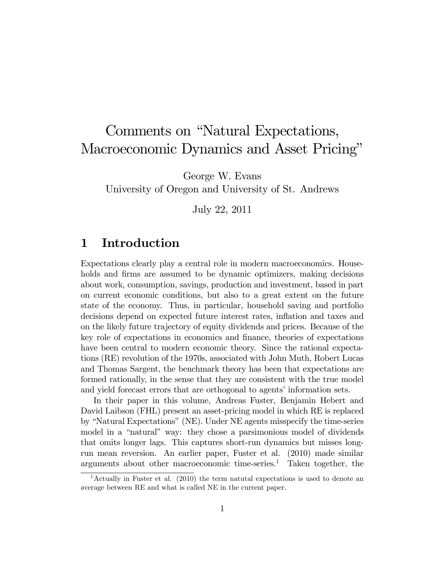# Comments on "Natural Expectations, Macroeconomic Dynamics and Asset Pricing"

George W. Evans

University of Oregon and University of St. Andrews

July 22, 2011

# 1 Introduction

Expectations clearly play a central role in modern macroeconomics. Households and firms are assumed to be dynamic optimizers, making decisions about work, consumption, savings, production and investment, based in part on current economic conditions, but also to a great extent on the future state of the economy. Thus, in particular, household saving and portfolio decisions depend on expected future interest rates, inflation and taxes and on the likely future trajectory of equity dividends and prices. Because of the key role of expectations in economics and Önance, theories of expectations have been central to modern economic theory. Since the rational expectations (RE) revolution of the 1970s, associated with John Muth, Robert Lucas and Thomas Sargent, the benchmark theory has been that expectations are formed rationally, in the sense that they are consistent with the true model and yield forecast errors that are orthogonal to agents' information sets.

In their paper in this volume, Andreas Fuster, Benjamin Hebert and David Laibson (FHL) present an asset-pricing model in which RE is replaced by "Natural Expectations" (NE). Under  $NE$  agents misspecify the time-series model in a "natural" way: they chose a parsimonious model of dividends that omits longer lags. This captures short-run dynamics but misses longrun mean reversion. An earlier paper, Fuster et al. (2010) made similar arguments about other macroeconomic time-series.<sup>1</sup> Taken together, the

<sup>&</sup>lt;sup>1</sup>Actually in Fuster et al. (2010) the term natural expectations is used to denote an average between RE and what is called NE in the current paper.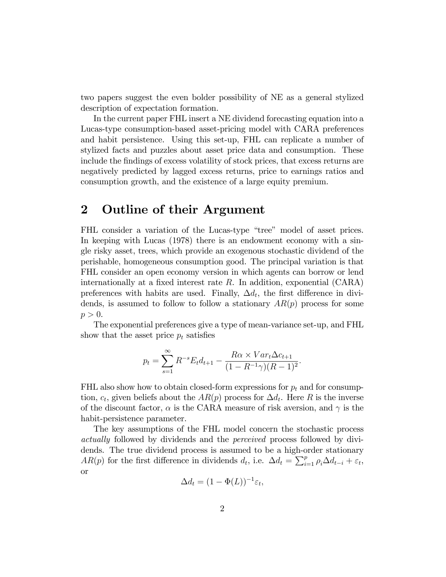two papers suggest the even bolder possibility of NE as a general stylized description of expectation formation.

In the current paper FHL insert a NE dividend forecasting equation into a Lucas-type consumption-based asset-pricing model with CARA preferences and habit persistence. Using this set-up, FHL can replicate a number of stylized facts and puzzles about asset price data and consumption. These include the findings of excess volatility of stock prices, that excess returns are negatively predicted by lagged excess returns, price to earnings ratios and consumption growth, and the existence of a large equity premium.

# 2 Outline of their Argument

FHL consider a variation of the Lucas-type "tree" model of asset prices. In keeping with Lucas (1978) there is an endowment economy with a single risky asset, trees, which provide an exogenous stochastic dividend of the perishable, homogeneous consumption good. The principal variation is that FHL consider an open economy version in which agents can borrow or lend internationally at a fixed interest rate  $R$ . In addition, exponential (CARA) preferences with habits are used. Finally,  $\Delta d_t$ , the first difference in dividends, is assumed to follow to follow a stationary  $AR(p)$  process for some  $p > 0$ .

The exponential preferences give a type of mean-variance set-up, and FHL show that the asset price  $p_t$  satisfies

$$
p_t = \sum_{s=1}^{\infty} R^{-s} E_t d_{t+1} - \frac{R\alpha \times Var_t \Delta c_{t+1}}{(1 - R^{-1}\gamma)(R - 1)^2}.
$$

FHL also show how to obtain closed-form expressions for  $p_t$  and for consumption,  $c_t$ , given beliefs about the  $AR(p)$  process for  $\Delta d_t$ . Here R is the inverse of the discount factor,  $\alpha$  is the CARA measure of risk aversion, and  $\gamma$  is the habit-persistence parameter.

The key assumptions of the FHL model concern the stochastic process actually followed by dividends and the perceived process followed by dividends. The true dividend process is assumed to be a high-order stationary  $AR(p)$  for the first difference in dividends  $d_t$ , i.e.  $\Delta d_t = \sum_{i=1}^p \rho_i \Delta d_{t-i} + \varepsilon_t$ , or

$$
\Delta d_t = (1 - \Phi(L))^{-1} \varepsilon_t,
$$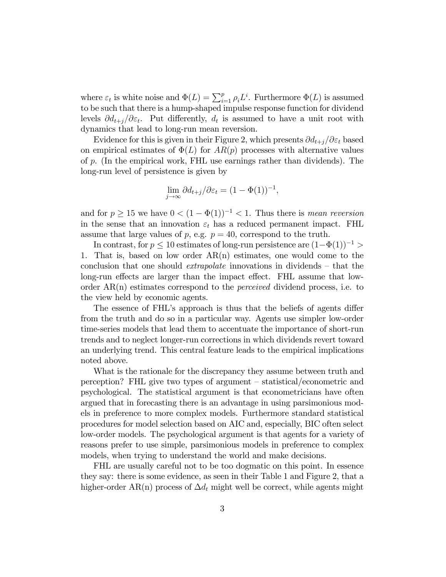where  $\varepsilon_t$  is white noise and  $\Phi(L) = \sum_{i=1}^p \rho_i L^i$ . Furthermore  $\Phi(L)$  is assumed to be such that there is a hump-shaped impulse response function for dividend levels  $\partial d_{t+j}/\partial \varepsilon_t$ . Put differently,  $d_t$  is assumed to have a unit root with dynamics that lead to long-run mean reversion.

Evidence for this is given in their Figure 2, which presents  $\partial d_{t+j}/\partial \varepsilon_t$  based on empirical estimates of  $\Phi(L)$  for  $AR(p)$  processes with alternative values of p. (In the empirical work, FHL use earnings rather than dividends). The long-run level of persistence is given by

$$
\lim_{j \to \infty} \partial d_{t+j} / \partial \varepsilon_t = (1 - \Phi(1))^{-1},
$$

and for  $p \geq 15$  we have  $0 < (1 - \Phi(1))^{-1} < 1$ . Thus there is mean reversion in the sense that an innovation  $\varepsilon_t$  has a reduced permanent impact. FHL assume that large values of p, e.g.  $p = 40$ , correspond to the truth.

In contrast, for  $p \leq 10$  estimates of long-run persistence are  $(1-\Phi(1))^{-1}$ 1. That is, based on low order AR(n) estimates, one would come to the conclusion that one should *extrapolate* innovations in dividends  $-$  that the long-run effects are larger than the impact effect. FHL assume that loworder  $AR(n)$  estimates correspond to the *perceived* dividend process, i.e. to the view held by economic agents.

The essence of FHL's approach is thus that the beliefs of agents differ from the truth and do so in a particular way. Agents use simpler low-order time-series models that lead them to accentuate the importance of short-run trends and to neglect longer-run corrections in which dividends revert toward an underlying trend. This central feature leads to the empirical implications noted above.

What is the rationale for the discrepancy they assume between truth and perception? FHL give two types of argument  $-$  statistical/econometric and psychological. The statistical argument is that econometricians have often argued that in forecasting there is an advantage in using parsimonious models in preference to more complex models. Furthermore standard statistical procedures for model selection based on AIC and, especially, BIC often select low-order models. The psychological argument is that agents for a variety of reasons prefer to use simple, parsimonious models in preference to complex models, when trying to understand the world and make decisions.

FHL are usually careful not to be too dogmatic on this point. In essence they say: there is some evidence, as seen in their Table 1 and Figure 2, that a higher-order AR(n) process of  $\Delta d_t$  might well be correct, while agents might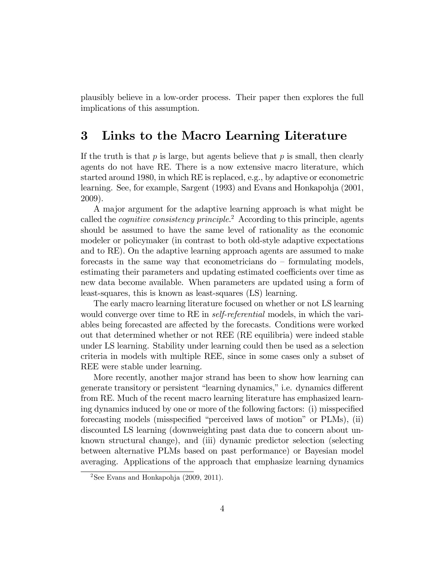plausibly believe in a low-order process. Their paper then explores the full implications of this assumption.

# 3 Links to the Macro Learning Literature

If the truth is that  $p$  is large, but agents believe that  $p$  is small, then clearly agents do not have RE. There is a now extensive macro literature, which started around 1980, in which RE is replaced, e.g., by adaptive or econometric learning. See, for example, Sargent (1993) and Evans and Honkapohja (2001, 2009).

A major argument for the adaptive learning approach is what might be called the *cognitive consistency principle*.<sup>2</sup> According to this principle, agents should be assumed to have the same level of rationality as the economic modeler or policymaker (in contrast to both old-style adaptive expectations and to RE). On the adaptive learning approach agents are assumed to make forecasts in the same way that econometricians  $d\sigma$  – formulating models, estimating their parameters and updating estimated coefficients over time as new data become available. When parameters are updated using a form of least-squares, this is known as least-squares (LS) learning.

The early macro learning literature focused on whether or not LS learning would converge over time to RE in *self-referential* models, in which the variables being forecasted are affected by the forecasts. Conditions were worked out that determined whether or not REE (RE equilibria) were indeed stable under LS learning. Stability under learning could then be used as a selection criteria in models with multiple REE, since in some cases only a subset of REE were stable under learning.

More recently, another major strand has been to show how learning can generate transitory or persistent "learning dynamics," i.e. dynamics different from RE. Much of the recent macro learning literature has emphasized learning dynamics induced by one or more of the following factors: (i) misspecified forecasting models (misspecified "perceived laws of motion" or  $PLMs$ ), (ii) discounted LS learning (downweighting past data due to concern about unknown structural change), and (iii) dynamic predictor selection (selecting between alternative PLMs based on past performance) or Bayesian model averaging. Applications of the approach that emphasize learning dynamics

<sup>&</sup>lt;sup>2</sup>See Evans and Honkapohja  $(2009, 2011)$ .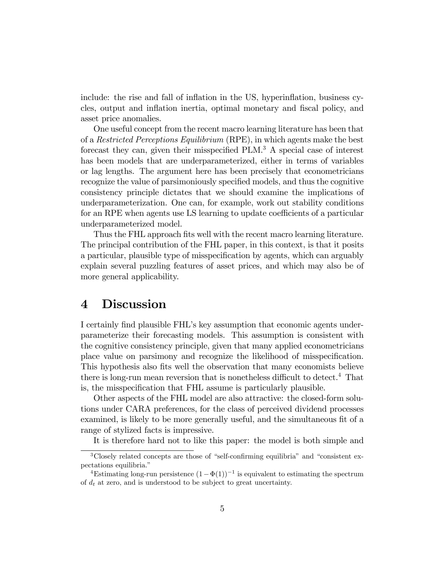include: the rise and fall of inflation in the US, hyperinflation, business cycles, output and inflation inertia, optimal monetary and fiscal policy, and asset price anomalies.

One useful concept from the recent macro learning literature has been that of a Restricted Perceptions Equilibrium (RPE), in which agents make the best forecast they can, given their misspecified  $PLM$ .<sup>3</sup> A special case of interest has been models that are underparameterized, either in terms of variables or lag lengths. The argument here has been precisely that econometricians recognize the value of parsimoniously specified models, and thus the cognitive consistency principle dictates that we should examine the implications of underparameterization. One can, for example, work out stability conditions for an RPE when agents use LS learning to update coefficients of a particular underparameterized model.

Thus the FHL approach fits well with the recent macro learning literature. The principal contribution of the FHL paper, in this context, is that it posits a particular, plausible type of misspecification by agents, which can arguably explain several puzzling features of asset prices, and which may also be of more general applicability.

## 4 Discussion

I certainly find plausible FHL's key assumption that economic agents underparameterize their forecasting models. This assumption is consistent with the cognitive consistency principle, given that many applied econometricians place value on parsimony and recognize the likelihood of misspecification. This hypothesis also fits well the observation that many economists believe there is long-run mean reversion that is nonetheless difficult to detect.<sup>4</sup> That is, the misspecification that FHL assume is particularly plausible.

Other aspects of the FHL model are also attractive: the closed-form solutions under CARA preferences, for the class of perceived dividend processes examined, is likely to be more generally useful, and the simultaneous fit of a range of stylized facts is impressive.

It is therefore hard not to like this paper: the model is both simple and

 $3C$ losely related concepts are those of "self-confirming equilibria" and "consistent expectations equilibria."

<sup>&</sup>lt;sup>4</sup>Estimating long-run persistence  $(1 - \Phi(1))^{-1}$  is equivalent to estimating the spectrum of  $d_t$  at zero, and is understood to be subject to great uncertainty.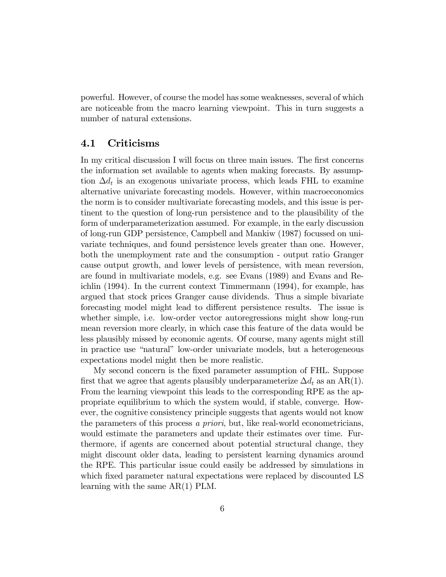powerful. However, of course the model has some weaknesses, several of which are noticeable from the macro learning viewpoint. This in turn suggests a number of natural extensions.

#### 4.1 Criticisms

In my critical discussion I will focus on three main issues. The first concerns the information set available to agents when making forecasts. By assumption  $\Delta d_t$  is an exogenous univariate process, which leads FHL to examine alternative univariate forecasting models. However, within macroeconomics the norm is to consider multivariate forecasting models, and this issue is pertinent to the question of long-run persistence and to the plausibility of the form of underparameterization assumed. For example, in the early discussion of long-run GDP persistence, Campbell and Mankiw (1987) focussed on univariate techniques, and found persistence levels greater than one. However, both the unemployment rate and the consumption - output ratio Granger cause output growth, and lower levels of persistence, with mean reversion, are found in multivariate models, e.g. see Evans (1989) and Evans and Reichlin (1994). In the current context Timmermann (1994), for example, has argued that stock prices Granger cause dividends. Thus a simple bivariate forecasting model might lead to different persistence results. The issue is whether simple, i.e. low-order vector autoregressions might show long-run mean reversion more clearly, in which case this feature of the data would be less plausibly missed by economic agents. Of course, many agents might still in practice use "natural" low-order univariate models, but a heterogeneous expectations model might then be more realistic.

My second concern is the Öxed parameter assumption of FHL. Suppose first that we agree that agents plausibly underparameterize  $\Delta d_t$  as an AR(1). From the learning viewpoint this leads to the corresponding RPE as the appropriate equilibrium to which the system would, if stable, converge. However, the cognitive consistency principle suggests that agents would not know the parameters of this process a priori, but, like real-world econometricians, would estimate the parameters and update their estimates over time. Furthermore, if agents are concerned about potential structural change, they might discount older data, leading to persistent learning dynamics around the RPE. This particular issue could easily be addressed by simulations in which fixed parameter natural expectations were replaced by discounted LS learning with the same AR(1) PLM.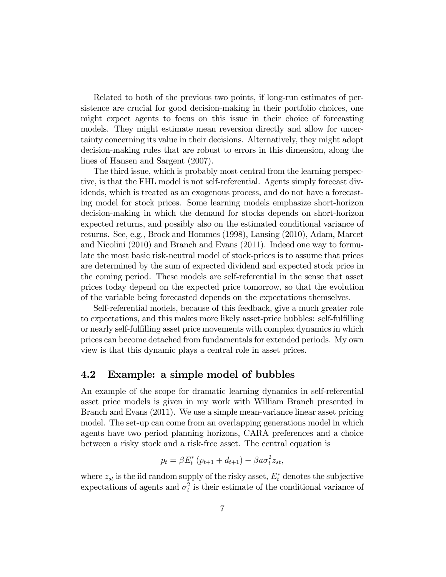Related to both of the previous two points, if long-run estimates of persistence are crucial for good decision-making in their portfolio choices, one might expect agents to focus on this issue in their choice of forecasting models. They might estimate mean reversion directly and allow for uncertainty concerning its value in their decisions. Alternatively, they might adopt decision-making rules that are robust to errors in this dimension, along the lines of Hansen and Sargent (2007).

The third issue, which is probably most central from the learning perspective, is that the FHL model is not self-referential. Agents simply forecast dividends, which is treated as an exogenous process, and do not have a forecasting model for stock prices. Some learning models emphasize short-horizon decision-making in which the demand for stocks depends on short-horizon expected returns, and possibly also on the estimated conditional variance of returns. See, e.g., Brock and Hommes (1998), Lansing (2010), Adam, Marcet and Nicolini (2010) and Branch and Evans (2011). Indeed one way to formulate the most basic risk-neutral model of stock-prices is to assume that prices are determined by the sum of expected dividend and expected stock price in the coming period. These models are self-referential in the sense that asset prices today depend on the expected price tomorrow, so that the evolution of the variable being forecasted depends on the expectations themselves.

Self-referential models, because of this feedback, give a much greater role to expectations, and this makes more likely asset-price bubbles: self-fulfilling or nearly self-fulÖlling asset price movements with complex dynamics in which prices can become detached from fundamentals for extended periods. My own view is that this dynamic plays a central role in asset prices.

#### 4.2 Example: a simple model of bubbles

An example of the scope for dramatic learning dynamics in self-referential asset price models is given in my work with William Branch presented in Branch and Evans (2011). We use a simple mean-variance linear asset pricing model. The set-up can come from an overlapping generations model in which agents have two period planning horizons, CARA preferences and a choice between a risky stock and a risk-free asset. The central equation is

$$
p_t = \beta E_t^* (p_{t+1} + d_{t+1}) - \beta a \sigma_t^2 z_{st},
$$

where  $z_{st}$  is the iid random supply of the risky asset,  $E_t^*$  denotes the subjective expectations of agents and  $\sigma_t^2$  is their estimate of the conditional variance of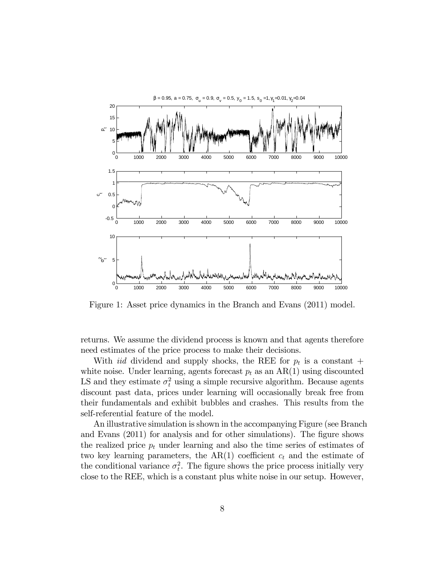

Figure 1: Asset price dynamics in the Branch and Evans (2011) model.

returns. We assume the dividend process is known and that agents therefore need estimates of the price process to make their decisions.

With *iid* dividend and supply shocks, the REE for  $p_t$  is a constant + white noise. Under learning, agents forecast  $p_t$  as an  $AR(1)$  using discounted LS and they estimate  $\sigma_t^2$  using a simple recursive algorithm. Because agents discount past data, prices under learning will occasionally break free from their fundamentals and exhibit bubbles and crashes. This results from the self-referential feature of the model.

An illustrative simulation is shown in the accompanying Figure (see Branch and Evans  $(2011)$  for analysis and for other simulations). The figure shows the realized price  $p_t$  under learning and also the time series of estimates of two key learning parameters, the  $AR(1)$  coefficient  $c_t$  and the estimate of the conditional variance  $\sigma_t^2$ . The figure shows the price process initially very close to the REE, which is a constant plus white noise in our setup. However,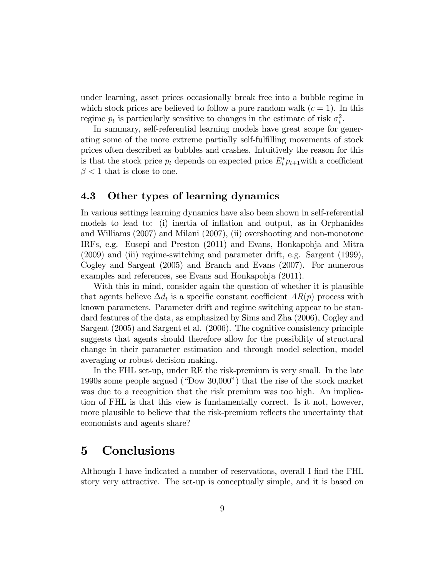under learning, asset prices occasionally break free into a bubble regime in which stock prices are believed to follow a pure random walk  $(c = 1)$ . In this regime  $p_t$  is particularly sensitive to changes in the estimate of risk  $\sigma_t^2$ .

In summary, self-referential learning models have great scope for generating some of the more extreme partially self-fulfilling movements of stock prices often described as bubbles and crashes. Intuitively the reason for this is that the stock price  $p_t$  depends on expected price  $E_t^* p_{t+1}$  with a coefficient  $\beta$  < 1 that is close to one.

#### 4.3 Other types of learning dynamics

In various settings learning dynamics have also been shown in self-referential models to lead to: (i) inertia of inflation and output, as in Orphanides and Williams (2007) and Milani (2007), (ii) overshooting and non-monotone IRFs, e.g. Eusepi and Preston (2011) and Evans, Honkapohja and Mitra (2009) and (iii) regime-switching and parameter drift, e.g. Sargent (1999), Cogley and Sargent (2005) and Branch and Evans (2007). For numerous examples and references, see Evans and Honkapohja (2011).

With this in mind, consider again the question of whether it is plausible that agents believe  $\Delta d_t$  is a specific constant coefficient  $AR(p)$  process with known parameters. Parameter drift and regime switching appear to be standard features of the data, as emphasized by Sims and Zha (2006), Cogley and Sargent (2005) and Sargent et al. (2006). The cognitive consistency principle suggests that agents should therefore allow for the possibility of structural change in their parameter estimation and through model selection, model averaging or robust decision making.

In the FHL set-up, under RE the risk-premium is very small. In the late 1990s some people argued ("Dow 30,000") that the rise of the stock market was due to a recognition that the risk premium was too high. An implication of FHL is that this view is fundamentally correct. Is it not, however, more plausible to believe that the risk-premium reflects the uncertainty that economists and agents share?

## 5 Conclusions

Although I have indicated a number of reservations, overall I find the FHL story very attractive. The set-up is conceptually simple, and it is based on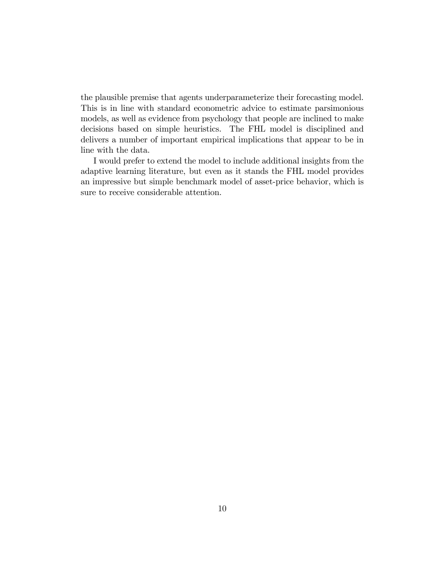the plausible premise that agents underparameterize their forecasting model. This is in line with standard econometric advice to estimate parsimonious models, as well as evidence from psychology that people are inclined to make decisions based on simple heuristics. The FHL model is disciplined and delivers a number of important empirical implications that appear to be in line with the data.

I would prefer to extend the model to include additional insights from the adaptive learning literature, but even as it stands the FHL model provides an impressive but simple benchmark model of asset-price behavior, which is sure to receive considerable attention.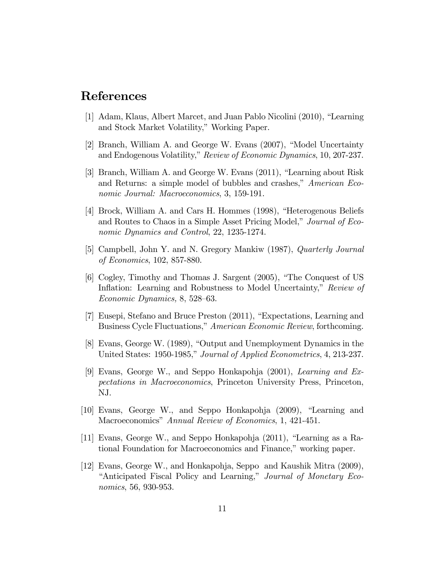### References

- [1] Adam, Klaus, Albert Marcet, and Juan Pablo Nicolini (2010), "Learning and Stock Market Volatility," Working Paper.
- [2] Branch, William A. and George W. Evans  $(2007)$ , "Model Uncertainty and Endogenous Volatility," Review of Economic Dynamics, 10, 207-237.
- [3] Branch, William A. and George W. Evans (2011), "Learning about Risk and Returns: a simple model of bubbles and crashes," American Economic Journal: Macroeconomics, 3, 159-191.
- [4] Brock, William A. and Cars H. Hommes (1998), "Heterogenous Beliefs and Routes to Chaos in a Simple Asset Pricing Model," Journal of Economic Dynamics and Control, 22, 1235-1274.
- [5] Campbell, John Y. and N. Gregory Mankiw (1987), Quarterly Journal of Economics, 102, 857-880.
- [6] Cogley, Timothy and Thomas J. Sargent (2005), "The Conquest of US Inflation: Learning and Robustness to Model Uncertainty," Review of Economic Dynamics,  $8, 528-63$ .
- [7] Eusepi, Stefano and Bruce Preston (2011), "Expectations, Learning and Business Cycle Fluctuations," American Economic Review, forthcoming.
- [8] Evans, George W. (1989), "Output and Unemployment Dynamics in the United States: 1950-1985," Journal of Applied Econometrics, 4, 213-237.
- [9] Evans, George W., and Seppo Honkapohja (2001), Learning and Expectations in Macroeconomics, Princeton University Press, Princeton, NJ.
- $[10]$  Evans, George W., and Seppo Honkapohja  $(2009)$ , "Learning and Macroeconomics" Annual Review of Economics, 1, 421-451.
- [11] Evans, George W., and Seppo Honkapohja  $(2011)$ , "Learning as a Rational Foundation for Macroeconomics and Finance," working paper.
- [12] Evans, George W., and Honkapohja, Seppo and Kaushik Mitra (2009), "Anticipated Fiscal Policy and Learning," Journal of Monetary Economics, 56, 930-953.